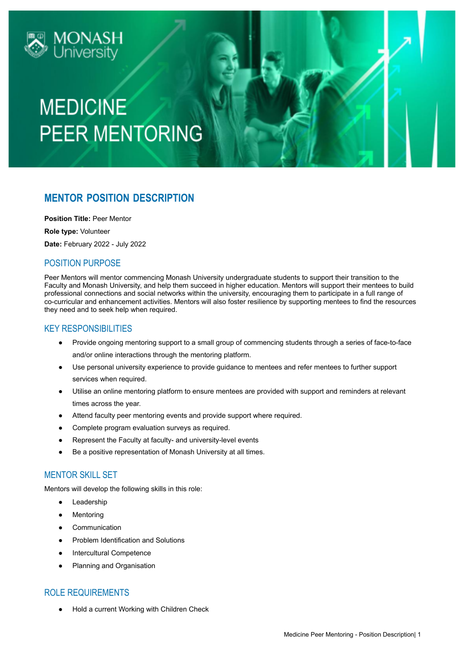

## **MEDICINE PEER MENTORING**

### **MENTOR POSITION DESCRIPTION**

**Position Title:** Peer Mentor

**Role type:** Volunteer

**Date:** February 2022 - July 2022

### POSITION PURPOSE

Peer Mentors will mentor commencing Monash University undergraduate students to support their transition to the Faculty and Monash University, and help them succeed in higher education. Mentors will support their mentees to build professional connections and social networks within the university, encouraging them to participate in a full range of co-curricular and enhancement activities. Mentors will also foster resilience by supporting mentees to find the resources they need and to seek help when required.

### KEY RESPONSIBILITIES

- Provide ongoing mentoring support to a small group of commencing students through a series of face-to-face and/or online interactions through the mentoring platform.
- Use personal university experience to provide guidance to mentees and refer mentees to further support services when required.
- Utilise an online mentoring platform to ensure mentees are provided with support and reminders at relevant times across the year.
- Attend faculty peer mentoring events and provide support where required.
- Complete program evaluation surveys as required.
- Represent the Faculty at faculty- and university-level events
- Be a positive representation of Monash University at all times.

#### MENTOR SKILL SET

Mentors will develop the following skills in this role:

- Leadership
- Mentoring
- Communication
- Problem Identification and Solutions
- **Intercultural Competence**
- Planning and Organisation

### ROLE REQUIREMENTS

Hold a current Working with Children Check